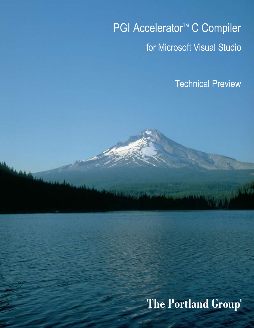# PGI Accelerator<sup>™</sup> C Compiler for Microsoft Visual Studio

Technical Preview

## **The Portland Group**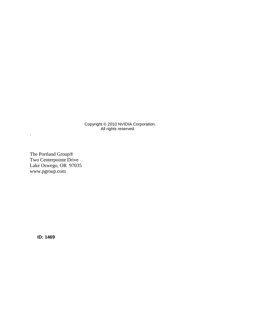Copyright © 2010 NVIDIA Corporation. All rights reserved.

The Portland Group® Two Centerpointe Drive Lake Oswego, OR 97035 www.pgroup.com

.

**ID: 1469**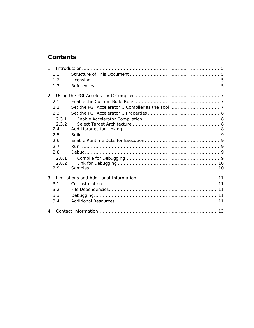## **Contents**

| $\mathbf{1}$   |       |  |  |
|----------------|-------|--|--|
|                | 1.1   |  |  |
|                | 1.2   |  |  |
|                | 1.3   |  |  |
| 2              |       |  |  |
|                | 2.1   |  |  |
|                | 2.2   |  |  |
|                | 2.3   |  |  |
|                | 2.3.1 |  |  |
|                | 2.3.2 |  |  |
|                | 2.4   |  |  |
|                | 2.5   |  |  |
|                | 2.6   |  |  |
|                | 2.7   |  |  |
|                | 2.8   |  |  |
|                | 2.8.1 |  |  |
|                | 2.8.2 |  |  |
|                | 2.9   |  |  |
| 3              |       |  |  |
|                | 3.1   |  |  |
|                | 3.2   |  |  |
|                | 3.3   |  |  |
|                | 3.4   |  |  |
| $\overline{4}$ |       |  |  |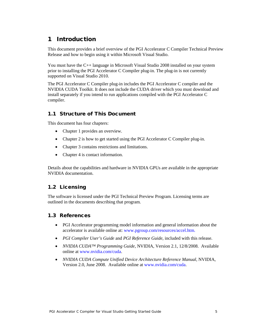## 1 Introduction

This document provides a brief overview of the PGI Accelerator C Compiler Technical Preview Release and how to begin using it within Microsoft Visual Studio.

You must have the C++ language in Microsoft Visual Studio 2008 installed on your system prior to installing the PGI Accelerator C Compiler plug-in. The plug-in is not currently supported on Visual Studio 2010.

The PGI Accelerator C Compiler plug-in includes the PGI Accelerator C compiler and the NVIDIA CUDA Toolkit. It does not include the CUDA driver which you must download and install separately if you intend to run applications compiled with the PGI Accelerator C compiler.

## 1.1 Structure of This Document

This document has four chapters:

- Chapter 1 provides an overview.
- Chapter 2 is how to get started using the PGI Accelerator C Compiler plug-in.
- Chapter 3 contains restrictions and limitations.
- Chapter 4 is contact information.

Details about the capabilities and hardware in NVIDIA GPUs are available in the appropriate NVIDIA documentation.

## 1.2 Licensing

The software is licensed under the PGI Technical Preview Program. Licensing terms are outlined in the documents describing that program.

#### 1.3 References

- PGI Accelerator programming model information and general information about the accelerator is available online at[: www.pgroup.com/resources/accel.htm.](http://www.pgroup.com/resources/accel.htm)
- *PGI Compiler User's Guide* and *PGI Reference Guide*, included with this release.
- *NVIDIA CUDA™ Programming Guide*, NVIDIA, Version 2.1, 12/8/2008. Available online at [www.nvidia.com/cuda.](http://www.nvidia.com/cuda)
- *NVIDIA CUDA Compute Unified Device Architecture Reference Manual,* NVIDIA, Version 2.0, June 2008. Available online a[t www.nvidia.com/cuda.](http://www.nvidia.com/cuda)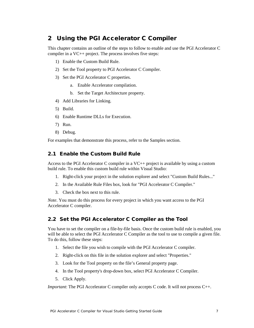## 2 Using the PGI Accelerator C Compiler

This chapter contains an outline of the steps to follow to enable and use the PGI Accelerator C compiler in a VC++ project. The process involves five steps:

- 1) Enable the Custom Build Rule.
- 2) Set the Tool property to PGI Accelerator C Compiler.
- 3) Set the PGI Accelerator C properties.
	- a. Enable Accelerator compilation.
	- b. Set the Target Architecture property.
- 4) Add Libraries for Linking.
- 5) Build.
- 6) Enable Runtime DLLs for Execution.
- 7) Run.
- 8) Debug.

For examples that demonstrate this process, refer to the Samples section.

## 2.1 Enable the Custom Build Rule

Access to the PGI Accelerator C compiler in a VC++ project is available by using a custom build rule. To enable this custom build rule within Visual Studio:

- 1. Right-click your project in the solution explorer and select "Custom Build Rules..."
- 2. In the Available Rule Files box, look for "PGI Accelerator C Compiler."
- 3. Check the box next to this rule.

*Note*. You must do this process for every project in which you want access to the PGI Accelerator C compiler.

## 2.2 Set the PGI Accelerator C Compiler as the Tool

You have to set the compiler on a file-by-file basis. Once the custom build rule is enabled, you will be able to select the PGI Accelerator C Compiler as the tool to use to compile a given file. To do this, follow these steps:

- 1. Select the file you wish to compile with the PGI Accelerator C compiler.
- 2. Right-click on this file in the solution explorer and select "Properties."
- 3. Look for the Tool property on the file's General property page.
- 4. In the Tool property's drop-down box, select PGI Accelerator C Compiler.
- 5. Click Apply.

*Important*: The PGI Accelerator C compiler only accepts C code. It will not process C++.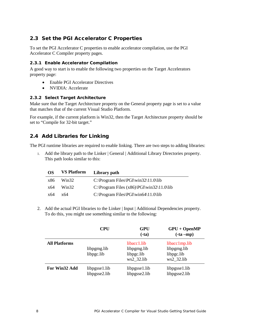## 2.3 Set the PGI Accelerator C Properties

To set the PGI Accelerator C properties to enable accelerator compilation, use the PGI Accelerator C Compiler property pages.

#### **2.3.1 Enable Accelerator Compilation**

A good way to start is to enable the following two properties on the Target Accelerators property page:

- Enable PGI Accelerator Directives
- NVIDIA: Accelerate

#### **2.3.2 Select Target Architecture**

Make sure that the Target Architecture property on the General property page is set to a value that matches that of the current Visual Studio Platform.

For example, if the current platform is Win32, then the Target Architecture property should be set to "Compile for 32-bit target."

#### 2.4 Add Libraries for Linking

The PGI runtime libraries are required to enable linking. There are two steps to adding libraries:

1. Add the library path to the Linker | General | Additional Library Directories property. This path looks similar to this:

| OS. | <b>VS Platform</b> | Library path                                |
|-----|--------------------|---------------------------------------------|
| x86 | Win32              | $C:\Program Files\PGI\win32\11.0\lib$       |
| x64 | Win32              | C:\Program Files $(x86)\PGI\win32\11.0\lib$ |
| x64 | x64                | $C:\Program Files\PGI\win64\11.0\lib$       |

2. Add the actual PGI libraries to the Linker | Input | Additional Dependencies property. To do this, you might use something similar to the following:

|                      | <b>CPU</b>                     | <b>GPU</b><br>$(-ta)$                                  | $GPU + OpenMP$<br>$(-ta - mp)$                           |
|----------------------|--------------------------------|--------------------------------------------------------|----------------------------------------------------------|
| <b>All Platforms</b> | libpgmg.lib<br>libpgc.lib      | libacc1.lib<br>libpgmg.lib<br>libpgc.lib<br>ws2 32.lib | libacc1mp.lib<br>libpgmg.lib<br>libpgc.lib<br>ws2 32.lib |
| For Win32 Add        | libpgsse1.lib<br>libpgsse2.lib | libpgsse1.lib<br>libpgsse2.lib                         | libpgsse1.lib<br>libpgsse2.lib                           |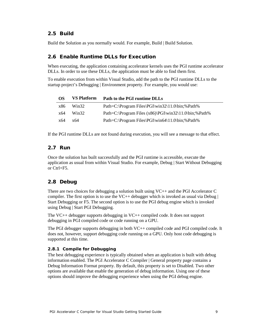#### 2.5 Build

Build the Solution as you normally would. For example, Build | Build Solution.

#### 2.6 Enable Runtime DLLs for Execution

When executing, the application containing accelerator kernels uses the PGI runtime accelerator DLLs. In order to use these DLLs, the application must be able to find them first.

To enable execution from within Visual Studio, add the path to the PGI runtime DLLs to the startup project's Debugging | Environment property. For example, you would use:

| OS. | <b>VS Platform</b> | Path to the PGI runtime DLLs                                        |
|-----|--------------------|---------------------------------------------------------------------|
| x86 | Win32              | Path=C:\Program Files\PGI\win32\11.0\bin;%Path%                     |
| x64 | Win32              | Path=C:\Program Files $(x86)\PGI\win32\11.0\binom{1}{0}fin$ ;%Path% |
| x64 | x64                | Path=C:\Program Files\PGI\win64\11.0\bin;%Path%                     |

If the PGI runtime DLLs are not found during execution, you will see a message to that effect.

#### 2.7 Run

Once the solution has built successfully and the PGI runtime is accessible, execute the application as usual from within Visual Studio. For example, Debug | Start Without Debugging or Ctrl+F5.

#### 2.8 Debug

There are two choices for debugging a solution built using VC++ and the PGI Accelerator C compiler. The first option is to use the VC++ debugger which is invoked as usual via Debug  $\vert$ Start Debugging or F5. The second option is to use the PGI debug engine which is invoked using Debug | Start PGI Debugging.

The VC++ debugger supports debugging in VC++ compiled code. It does not support debugging in PGI compiled code or code running on a GPU.

The PGI debugger supports debugging in both VC++ compiled code and PGI compiled code. It does not, however, support debugging code running on a GPU. Only host code debugging is supported at this time.

#### **2.8.1 Compile for Debugging**

The best debugging experience is typically obtained when an application is built with debug information enabled. The PGI Accelerator C Compiler | General property page contains a Debug Information Format property. By default, this property is set to Disabled. Two other options are available that enable the generation of debug information. Using one of these options should improve the debugging experience when using the PGI debug engine.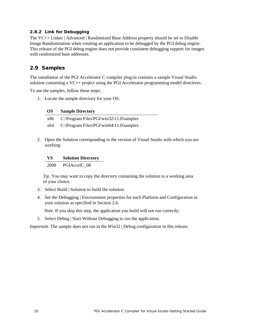#### **2.8.2 Link for Debugging**

The VC++ Linker | Advanced | Randomized Base Address property should be set to Disable Image Randomization when creating an application to be debugged by the PGI debug engine. This release of the PGI debug engine does not provide consistent debugging support for images with randomized base addresses.

#### 2.9 Samples

The installation of the PGI Accelerator C compiler plug-in contains a sample Visual Studio solution containing a VC++ project using the PGI Accelerator programming model directives.

To use the samples, follow these steps:

1. Locate the sample directory for your OS:

|  | <b>OS</b> | <b>Sample Directory</b> |
|--|-----------|-------------------------|
|--|-----------|-------------------------|

x86 C:\Program Files\PGI\win32\11.0\samples

x64 C:\Program Files\PGI\win64\11.0\samples

2. Open the Solution corresponding to the version of Visual Studio with which you are working:

#### **VS Solution Directory**

2008 PGIAccelC\_08

 *Tip*. You may want to copy the directory containing the solution to a working area of your choice.

- 3. Select Build | Solution to build the solution.
- 4. Set the Debugging | Environment properties for each Platform and Configuration in your solution as specified in Section 2.6.

*Note*. If you skip this step, the application you build will not run correctly.

5. Select Debug | Start Without Debugging to run the application.

*Important*. The sample does not run in the Win32 | Debug configuration in this release.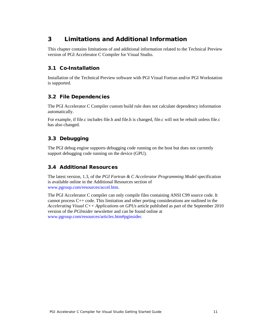## 3 Limitations and Additional Information

This chapter contains limitations of and additional information related to the Technical Preview version of PGI Accelerator C Compiler for Visual Studio.

## 3.1 Co-Installation

Installation of the Technical Preview software with PGI Visual Fortran and/or PGI Workstation is supported.

## 3.2 File Dependencies

The PGI Accelerator C Compiler custom build rule does not calculate dependency information automatically.

For example, if file.c includes file.h and file.h is changed, file.c will not be rebuilt unless file.c has also changed.

## 3.3 Debugging

The PGI debug engine supports debugging code running on the host but does not currently support debugging code running on the device (GPU).

## 3.4 Additional Resources

The latest version, 1.3, of the *PGI Fortran & C Accelerator Programming Model* specification is available online in the Additional Resources section of [www.pgroup.com/resources/accel.htm.](http://www.pgroup.com/resources/accel.htm)

The PGI Accelerator C compiler can only compile files containing ANSI C99 source code. It cannot process C++ code. This limitation and other porting considerations are outlined in the *Accelerating Visual C++ Applications on GPUs* article published as part of the September 2010 version of the *PGInsider* newsletter and can be found online at [www.pgroup.com/resources/articles.htm#pginsider.](http://www.pgroup.com/resources/articles.htm#pginsider)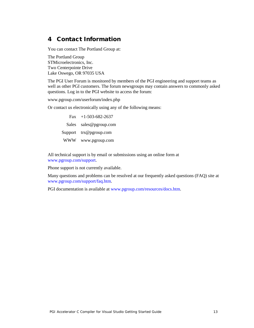## 4 Contact Information

You can contact The Portland Group at:

The Portland Group STMicroelectronics, Inc. Two Centerpointe Drive Lake Oswego, OR 97035 USA

The PGI User Forum is monitored by members of the PGI engineering and support teams as well as other PGI customers. The forum newsgroups may contain answers to commonly asked questions. Log in to the PGI website to access the forum:

www.pgroup.com/userforum/index.php

Or contact us electronically using any of the following means:

Fax +1-503-682-2637 Sales sales@pgroup.com Support trs@pgroup.com WWW www.pgroup.com

All technical support is by email or submissions using an online form at [www.pgroup.com/support.](http://www.pgroup.com/support)

Phone support is not currently available.

Many questions and problems can be resolved at our frequently asked questions (FAQ) site at [www.pgroup.com/support/faq.htm.](http://www.pgroup.com/support/faq.htm)

PGI documentation is available at [www.pgroup.com/resources/docs.htm.](http://www.pgroup.com/resources/docs.htm)